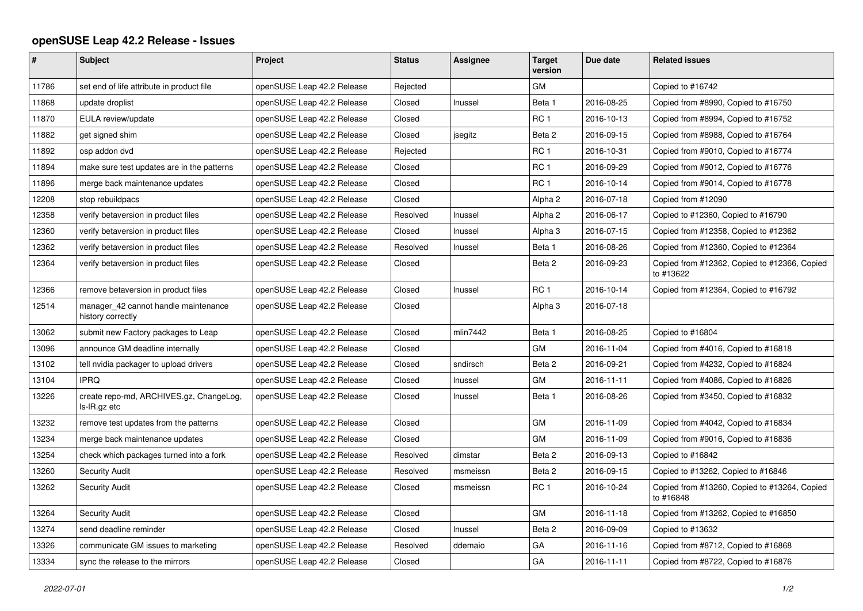## **openSUSE Leap 42.2 Release - Issues**

| $\sharp$ | Subject                                                   | Project                    | <b>Status</b> | Assignee | <b>Target</b><br>version | Due date   | <b>Related issues</b>                                     |
|----------|-----------------------------------------------------------|----------------------------|---------------|----------|--------------------------|------------|-----------------------------------------------------------|
| 11786    | set end of life attribute in product file                 | openSUSE Leap 42.2 Release | Rejected      |          | GM                       |            | Copied to #16742                                          |
| 11868    | update droplist                                           | openSUSE Leap 42.2 Release | Closed        | Inussel  | Beta 1                   | 2016-08-25 | Copied from #8990, Copied to #16750                       |
| 11870    | EULA review/update                                        | openSUSE Leap 42.2 Release | Closed        |          | RC <sub>1</sub>          | 2016-10-13 | Copied from #8994, Copied to #16752                       |
| 11882    | get signed shim                                           | openSUSE Leap 42.2 Release | Closed        | jsegitz  | Beta 2                   | 2016-09-15 | Copied from #8988, Copied to #16764                       |
| 11892    | osp addon dvd                                             | openSUSE Leap 42.2 Release | Rejected      |          | RC <sub>1</sub>          | 2016-10-31 | Copied from #9010, Copied to #16774                       |
| 11894    | make sure test updates are in the patterns                | openSUSE Leap 42.2 Release | Closed        |          | RC <sub>1</sub>          | 2016-09-29 | Copied from #9012, Copied to #16776                       |
| 11896    | merge back maintenance updates                            | openSUSE Leap 42.2 Release | Closed        |          | RC <sub>1</sub>          | 2016-10-14 | Copied from #9014, Copied to #16778                       |
| 12208    | stop rebuildpacs                                          | openSUSE Leap 42.2 Release | Closed        |          | Alpha <sub>2</sub>       | 2016-07-18 | Copied from #12090                                        |
| 12358    | verify betaversion in product files                       | openSUSE Leap 42.2 Release | Resolved      | Inussel  | Alpha <sub>2</sub>       | 2016-06-17 | Copied to #12360, Copied to #16790                        |
| 12360    | verify betaversion in product files                       | openSUSE Leap 42.2 Release | Closed        | Inussel  | Alpha 3                  | 2016-07-15 | Copied from #12358, Copied to #12362                      |
| 12362    | verify betaversion in product files                       | openSUSE Leap 42.2 Release | Resolved      | Inussel  | Beta 1                   | 2016-08-26 | Copied from #12360, Copied to #12364                      |
| 12364    | verify betaversion in product files                       | openSUSE Leap 42.2 Release | Closed        |          | Beta 2                   | 2016-09-23 | Copied from #12362, Copied to #12366, Copied<br>to #13622 |
| 12366    | remove betaversion in product files                       | openSUSE Leap 42.2 Release | Closed        | Inussel  | RC <sub>1</sub>          | 2016-10-14 | Copied from #12364, Copied to #16792                      |
| 12514    | manager 42 cannot handle maintenance<br>history correctly | openSUSE Leap 42.2 Release | Closed        |          | Alpha <sub>3</sub>       | 2016-07-18 |                                                           |
| 13062    | submit new Factory packages to Leap                       | openSUSE Leap 42.2 Release | Closed        | mlin7442 | Beta 1                   | 2016-08-25 | Copied to #16804                                          |
| 13096    | announce GM deadline internally                           | openSUSE Leap 42.2 Release | Closed        |          | GM                       | 2016-11-04 | Copied from #4016, Copied to #16818                       |
| 13102    | tell nvidia packager to upload drivers                    | openSUSE Leap 42.2 Release | Closed        | sndirsch | Beta 2                   | 2016-09-21 | Copied from #4232, Copied to #16824                       |
| 13104    | <b>IPRQ</b>                                               | openSUSE Leap 42.2 Release | Closed        | Inussel  | GM                       | 2016-11-11 | Copied from #4086, Copied to #16826                       |
| 13226    | create repo-md, ARCHIVES.gz, ChangeLog,<br>Is-IR.gz etc   | openSUSE Leap 42.2 Release | Closed        | Inussel  | Beta 1                   | 2016-08-26 | Copied from #3450, Copied to #16832                       |
| 13232    | remove test updates from the patterns                     | openSUSE Leap 42.2 Release | Closed        |          | GM                       | 2016-11-09 | Copied from #4042, Copied to #16834                       |
| 13234    | merge back maintenance updates                            | openSUSE Leap 42.2 Release | Closed        |          | GM                       | 2016-11-09 | Copied from #9016, Copied to #16836                       |
| 13254    | check which packages turned into a fork                   | openSUSE Leap 42.2 Release | Resolved      | dimstar  | Beta 2                   | 2016-09-13 | Copied to #16842                                          |
| 13260    | Security Audit                                            | openSUSE Leap 42.2 Release | Resolved      | msmeissn | Beta 2                   | 2016-09-15 | Copied to #13262, Copied to #16846                        |
| 13262    | <b>Security Audit</b>                                     | openSUSE Leap 42.2 Release | Closed        | msmeissn | RC <sub>1</sub>          | 2016-10-24 | Copied from #13260, Copied to #13264, Copied<br>to #16848 |
| 13264    | <b>Security Audit</b>                                     | openSUSE Leap 42.2 Release | Closed        |          | GM                       | 2016-11-18 | Copied from #13262, Copied to #16850                      |
| 13274    | send deadline reminder                                    | openSUSE Leap 42.2 Release | Closed        | Inussel  | Beta 2                   | 2016-09-09 | Copied to #13632                                          |
| 13326    | communicate GM issues to marketing                        | openSUSE Leap 42.2 Release | Resolved      | ddemaio  | GA                       | 2016-11-16 | Copied from #8712, Copied to #16868                       |
| 13334    | sync the release to the mirrors                           | openSUSE Leap 42.2 Release | Closed        |          | GA                       | 2016-11-11 | Copied from #8722, Copied to #16876                       |